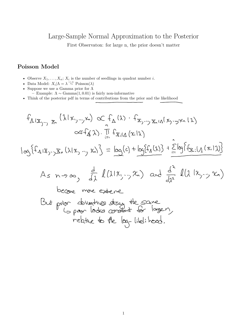## Large-Sample Normal Approximation to the Posterior

First Observaton: for large n, the prior doesn't matter

## **Poisson Model**

- Observe  $X_1, \ldots, X_n$ ;  $X_i$  is the number of seedlings in quadrat number *i*.
- Data Model:  $X_i | \Lambda = \lambda \stackrel{\text{i.i.d.}}{\sim} \text{Poisson}(\lambda)$
- Suppose we use a Gamma prior for  $\Lambda$ 
	- Example:  $\Lambda \sim \text{Gamma}(1, 0.01)$  is fairly non-informative

• Think of the posterior pdf in terms of contributions from the prior and the likelihood

$$
f_{\Lambda1x_{y\rightarrow y}x_{n}}(\lambda1x_{y\rightarrow y}x_{n}) \propto f_{\Lambda}(\lambda) \cdot f_{x_{y\rightarrow y}x_{n1}\Lambda1}x_{y\rightarrow y}x_{n1}\lambda)
$$
\n
$$
\propto f_{\Lambda}(\lambda) \cdot \prod_{i=1}^{n} f_{x_{i1}\Lambda}(x_{i1}\lambda)
$$
\n
$$
\log\{f_{\Lambda1x_{y\rightarrow y}x_{n}}(\lambda1x_{y\rightarrow y}x_{n})\} = \log(c) + \log\{f_{\Lambda}(\lambda)\} + \sum_{i=1}^{n} \log\{f_{\Sigma,i}[{\Lambda}(\kappa_{i1}\lambda)]\}
$$
\n
$$
A_{s} \quad n \rightarrow \infty, \quad \frac{d}{d\lambda} l(\lambda1x_{y\rightarrow y}x_{n}) \quad \text{and} \quad \frac{d}{d\lambda} l(\lambda1x_{y\rightarrow y}x_{n})
$$
\n
$$
\text{because } \quad \text{where}
$$
\n
$$
\text{But } \text{prime } \text{where}
$$
\n
$$
\text{But } \text{prime } \text{values } \text{and } \text{the } \text{same}
$$
\n
$$
\text{relative to } \text{the } \text{log-} \text{ fields } \text{head}.
$$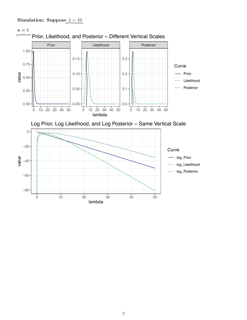